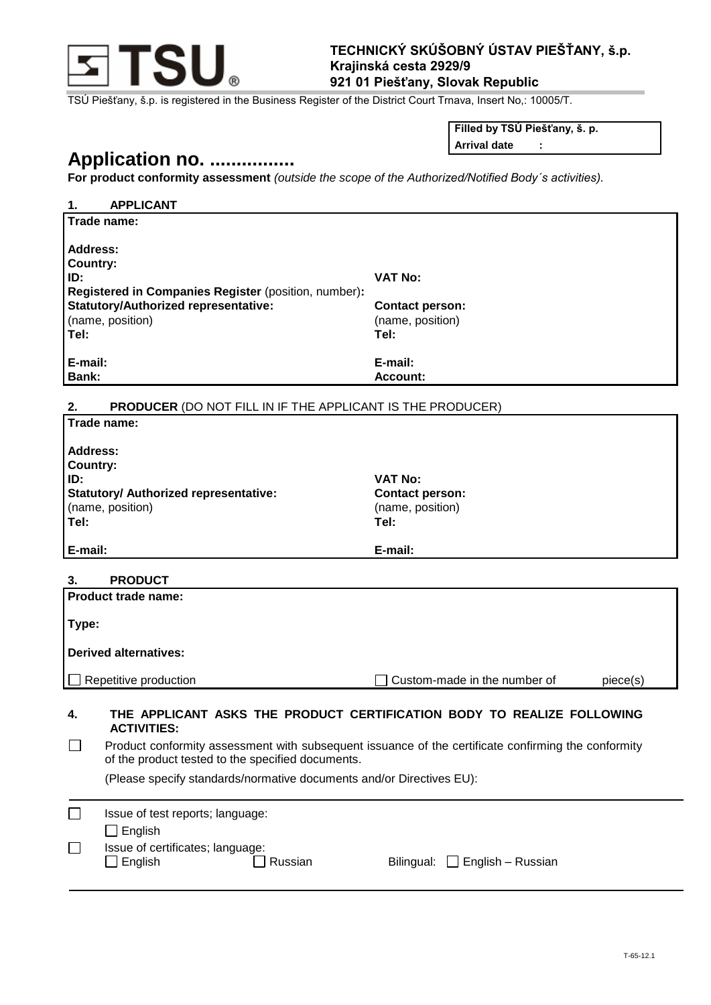

## **TECHNICKÝ SKÚŠOBNÝ ÚSTAV PIEŠŤANY, š.p. Krajinská cesta 2929/9 921 01 Piešťany, Slovak Republic**

TSÚ Piešťany, š.p. is registered in the Business Register of the District Court Trnava, Insert No,: 10005/T.

**Filled by TSÚ Piešťany, š. p.**

### **Arrival date :**

# **Application no. ................**

**For product conformity assessment** *(outside the scope of the Authorized/Notified Body´s activities).* 

| <b>APPLICANT</b><br>1.                                                                                                                                                   |                                                                        |
|--------------------------------------------------------------------------------------------------------------------------------------------------------------------------|------------------------------------------------------------------------|
| Trade name:                                                                                                                                                              |                                                                        |
| <b>Address:</b>                                                                                                                                                          |                                                                        |
| Country:                                                                                                                                                                 |                                                                        |
| ID:                                                                                                                                                                      | <b>VAT No:</b>                                                         |
| Registered in Companies Register (position, number):                                                                                                                     |                                                                        |
| <b>Statutory/Authorized representative:</b><br>(name, position)                                                                                                          | <b>Contact person:</b><br>(name, position)                             |
| Tel:                                                                                                                                                                     | Tel:                                                                   |
|                                                                                                                                                                          |                                                                        |
| E-mail:<br>Bank:                                                                                                                                                         | E-mail:<br><b>Account:</b>                                             |
|                                                                                                                                                                          |                                                                        |
| 2.<br><b>PRODUCER (DO NOT FILL IN IF THE APPLICANT IS THE PRODUCER)</b>                                                                                                  |                                                                        |
| Trade name:                                                                                                                                                              |                                                                        |
| <b>Address:</b>                                                                                                                                                          |                                                                        |
| <b>Country:</b>                                                                                                                                                          |                                                                        |
| ID:                                                                                                                                                                      | <b>VAT No:</b>                                                         |
| <b>Statutory/ Authorized representative:</b>                                                                                                                             | <b>Contact person:</b>                                                 |
| (name, position)<br>Tel:                                                                                                                                                 | (name, position)<br>Tel:                                               |
|                                                                                                                                                                          |                                                                        |
| E-mail:                                                                                                                                                                  | E-mail:                                                                |
| <b>PRODUCT</b><br>3.                                                                                                                                                     |                                                                        |
| Product trade name:                                                                                                                                                      |                                                                        |
|                                                                                                                                                                          |                                                                        |
| Type:                                                                                                                                                                    |                                                                        |
| <b>Derived alternatives:</b>                                                                                                                                             |                                                                        |
|                                                                                                                                                                          |                                                                        |
| Repetitive production                                                                                                                                                    | Custom-made in the number of<br>piece(s)                               |
|                                                                                                                                                                          |                                                                        |
| 4.<br><b>ACTIVITIES:</b>                                                                                                                                                 | THE APPLICANT ASKS THE PRODUCT CERTIFICATION BODY TO REALIZE FOLLOWING |
| Product conformity assessment with subsequent issuance of the certificate confirming the conformity<br>$\mathsf{L}$<br>of the product tested to the specified documents. |                                                                        |
| (Please specify standards/normative documents and/or Directives EU):                                                                                                     |                                                                        |
| $\Box$<br>Issue of test reports; language:                                                                                                                               |                                                                        |
| $\Box$ English                                                                                                                                                           |                                                                        |
|                                                                                                                                                                          |                                                                        |
| Issue of certificates; language:<br>$\mathsf{L}$                                                                                                                         |                                                                        |